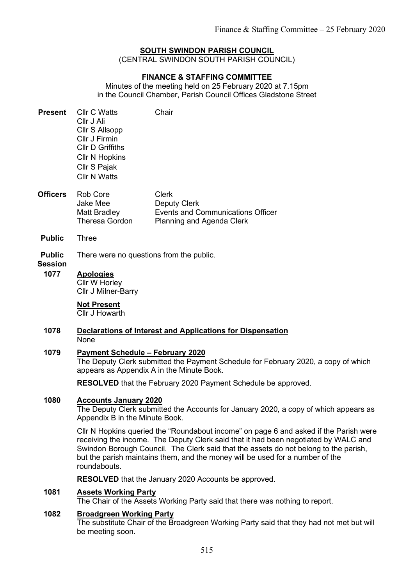# SOUTH SWINDON PARISH COUNCIL

(CENTRAL SWINDON SOUTH PARISH COUNCIL)

## FINANCE & STAFFING COMMITTEE

Minutes of the meeting held on 25 February 2020 at 7.15pm in the Council Chamber, Parish Council Offices Gladstone Street

| <b>Present</b>                          | <b>Cllr C Watts</b><br>Cllr J Ali<br>Cllr S Allsopp<br>Cllr J Firmin<br><b>Cllr D Griffiths</b><br><b>Cllr N Hopkins</b><br>Cllr S Pajak<br><b>Cllr N Watts</b>            | Chair                                                                                                        |  |  |  |  |  |  |  |
|-----------------------------------------|----------------------------------------------------------------------------------------------------------------------------------------------------------------------------|--------------------------------------------------------------------------------------------------------------|--|--|--|--|--|--|--|
| <b>Officers</b>                         | Rob Core<br>Jake Mee<br>Matt Bradley<br>Theresa Gordon                                                                                                                     | <b>Clerk</b><br><b>Deputy Clerk</b><br><b>Events and Communications Officer</b><br>Planning and Agenda Clerk |  |  |  |  |  |  |  |
| <b>Public</b>                           | Three                                                                                                                                                                      |                                                                                                              |  |  |  |  |  |  |  |
| <b>Public</b><br><b>Session</b><br>1077 | There were no questions from the public.<br><b>Apologies</b><br>Cllr W Horley<br>Cllr J Milner-Barry                                                                       |                                                                                                              |  |  |  |  |  |  |  |
|                                         | <b>Not Present</b><br>Cllr J Howarth                                                                                                                                       |                                                                                                              |  |  |  |  |  |  |  |
| 1078                                    | Declarations of Interest and Applications for Dispensation<br>None                                                                                                         |                                                                                                              |  |  |  |  |  |  |  |
| 1079                                    | <b>Payment Schedule - February 2020</b><br>The Deputy Clerk submitted the Payment Schedule for February 2020, a copy of which<br>appears as Appendix A in the Minute Book. |                                                                                                              |  |  |  |  |  |  |  |
|                                         | <b>RESOLVED</b> that the February 2020 Payment Schedule be approved.                                                                                                       |                                                                                                              |  |  |  |  |  |  |  |
| 1080                                    | <b>Accounts January 2020</b><br>The Deputy Clerk submitted the Accounts for January 2020, a copy of which appears as<br>Appendix B in the Minute Book.                     |                                                                                                              |  |  |  |  |  |  |  |

Cllr N Hopkins queried the "Roundabout income" on page 6 and asked if the Parish were receiving the income. The Deputy Clerk said that it had been negotiated by WALC and Swindon Borough Council. The Clerk said that the assets do not belong to the parish, but the parish maintains them, and the money will be used for a number of the roundabouts.

RESOLVED that the January 2020 Accounts be approved.

## 1081 Assets Working Party

The Chair of the Assets Working Party said that there was nothing to report.

#### 1082 Broadgreen Working Party

The substitute Chair of the Broadgreen Working Party said that they had not met but will be meeting soon.